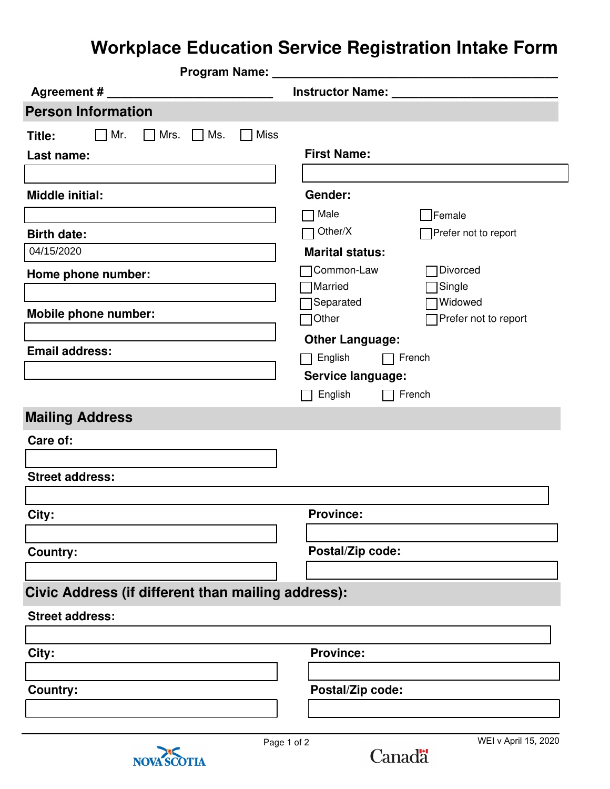## **Workplace Education Service Registration Intake Form**

| Program Name: _                                               |                                       |
|---------------------------------------------------------------|---------------------------------------|
| Agreement # _______                                           | Instructor Name: _                    |
| <b>Person Information</b>                                     |                                       |
| $\Box$ Miss<br>$\Box$ Mr.<br>$\Box$ Mrs. $\Box$ Ms.<br>Title: |                                       |
| Last name:                                                    | <b>First Name:</b>                    |
|                                                               |                                       |
| <b>Middle initial:</b>                                        | Gender:                               |
|                                                               | 7 Male<br>$\Box$ Female               |
| <b>Birth date:</b>                                            | Other/X<br>Prefer not to report       |
| 04/15/2020                                                    | <b>Marital status:</b>                |
| Home phone number:                                            | Divorced<br>Common-Law                |
|                                                               | <b>Married</b><br>Single              |
| Mobile phone number:                                          | Separated<br>Widowed                  |
|                                                               | Other<br>Prefer not to report         |
| <b>Email address:</b>                                         | <b>Other Language:</b>                |
|                                                               | English<br>$\Box$ French              |
|                                                               | Service language:                     |
|                                                               | English<br>French                     |
| <b>Mailing Address</b>                                        |                                       |
| Care of:                                                      |                                       |
|                                                               |                                       |
| <b>Street address:</b>                                        |                                       |
|                                                               |                                       |
| City:                                                         | <b>Province:</b>                      |
|                                                               |                                       |
| <b>Country:</b>                                               | Postal/Zip code:                      |
|                                                               |                                       |
| Civic Address (if different than mailing address):            |                                       |
| <b>Street address:</b>                                        |                                       |
|                                                               |                                       |
| City:                                                         | <b>Province:</b>                      |
|                                                               |                                       |
| <b>Country:</b>                                               | Postal/Zip code:                      |
|                                                               |                                       |
|                                                               |                                       |
| Page 1 of 2                                                   | WEI v April 15, 2020<br><b>Canadä</b> |
| <b>OTIA</b><br><b>NOVA</b>                                    |                                       |